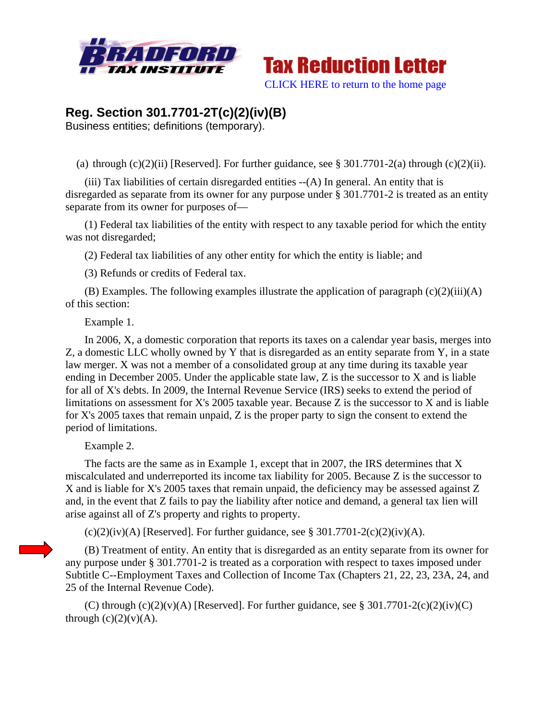



## **Reg. Section 301.7701-2T(c)(2)(iv)(B)**

Business entities; definitions (temporary).

(a) through  $(c)(2)(ii)$  [Reserved]. For further guidance, see § 301.7701-2(a) through  $(c)(2)(ii)$ .

 (iii) Tax liabilities of certain disregarded entities --(A) In general. An entity that is disregarded as separate from its owner for any purpose under § 301.7701-2 is treated as an entity separate from its owner for purposes of—

 (1) Federal tax liabilities of the entity with respect to any taxable period for which the entity was not disregarded;

(2) Federal tax liabilities of any other entity for which the entity is liable; and

(3) Refunds or credits of Federal tax.

(B) Examples. The following examples illustrate the application of paragraph  $(c)(2)(iii)(A)$ of this section:

Example 1.

 In 2006, X, a domestic corporation that reports its taxes on a calendar year basis, merges into Z, a domestic LLC wholly owned by Y that is disregarded as an entity separate from Y, in a state law merger. X was not a member of a consolidated group at any time during its taxable year ending in December 2005. Under the applicable state law, Z is the successor to X and is liable for all of X's debts. In 2009, the Internal Revenue Service (IRS) seeks to extend the period of limitations on assessment for X's 2005 taxable year. Because Z is the successor to X and is liable for X's 2005 taxes that remain unpaid, Z is the proper party to sign the consent to extend the period of limitations.

Example 2.

 The facts are the same as in Example 1, except that in 2007, the IRS determines that X miscalculated and underreported its income tax liability for 2005. Because Z is the successor to X and is liable for X's 2005 taxes that remain unpaid, the deficiency may be assessed against Z and, in the event that Z fails to pay the liability after notice and demand, a general tax lien will arise against all of Z's property and rights to property.

 $(c)(2)(iv)(A)$  [Reserved]. For further guidance, see § 301.7701-2 $(c)(2)(iv)(A)$ .

 (B) Treatment of entity. An entity that is disregarded as an entity separate from its owner for any purpose under § 301.7701-2 is treated as a corporation with respect to taxes imposed under Subtitle C--Employment Taxes and Collection of Income Tax (Chapters 21, 22, 23, 23A, 24, and 25 of the Internal Revenue Code).

(C) through  $(c)(2)(v)(A)$  [Reserved]. For further guidance, see § 301.7701-2 $(c)(2)(iv)(C)$ through  $(c)(2)(v)(A)$ .